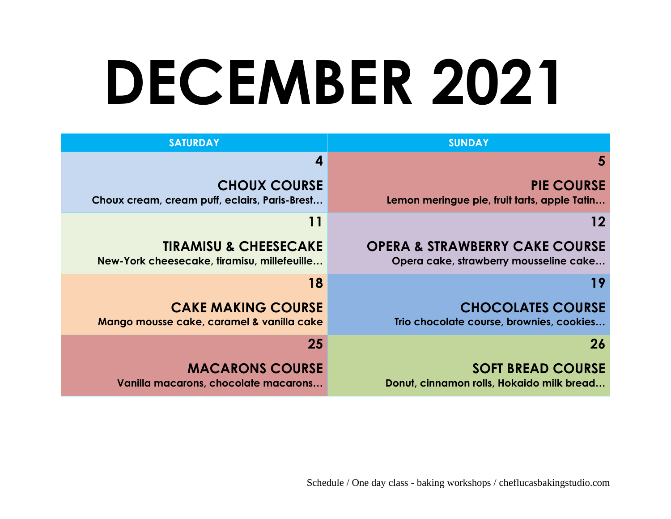# **DECEMBER 2021**

| <b>SUNDAY</b>                                                                       | <b>SATURDAY</b>                                                                 |
|-------------------------------------------------------------------------------------|---------------------------------------------------------------------------------|
| 5                                                                                   | 4                                                                               |
| <b>PIE COURSE</b><br>Lemon meringue pie, fruit tarts, apple Tatin                   | <b>CHOUX COURSE</b><br>Choux cream, cream puff, eclairs, Paris-Brest            |
| 12                                                                                  | 11                                                                              |
| <b>OPERA &amp; STRAWBERRY CAKE COURSE</b><br>Opera cake, strawberry mousseline cake | <b>TIRAMISU &amp; CHEESECAKE</b><br>New-York cheesecake, tiramisu, millefeuille |
| 19                                                                                  | 18                                                                              |
| <b>CHOCOLATES COURSE</b><br>Trio chocolate course, brownies, cookies                | <b>CAKE MAKING COURSE</b><br>Mango mousse cake, caramel & vanilla cake          |
| 26                                                                                  | 25                                                                              |
| <b>SOFT BREAD COURSE</b><br>Donut, cinnamon rolls, Hokaido milk bread               | <b>MACARONS COURSE</b><br>Vanilla macarons, chocolate macarons                  |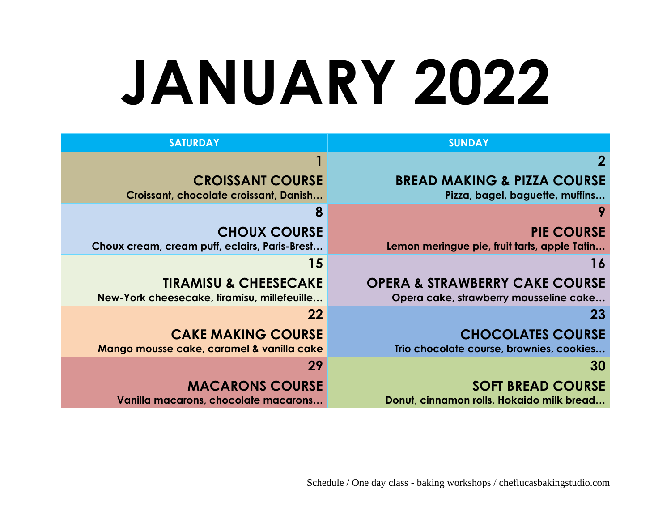# **JANUARY 2022**

| <b>SUNDAY</b>                                                                       | <b>SATURDAY</b>                                                                 |
|-------------------------------------------------------------------------------------|---------------------------------------------------------------------------------|
| $\bf{2}$                                                                            |                                                                                 |
| <b>BREAD MAKING &amp; PIZZA COURSE</b><br>Pizza, bagel, baguette, muffins           | <b>CROISSANT COURSE</b><br>Croissant, chocolate croissant, Danish               |
|                                                                                     | 8                                                                               |
| <b>PIE COURSE</b><br>Lemon meringue pie, fruit tarts, apple Tatin                   | <b>CHOUX COURSE</b><br>Choux cream, cream puff, eclairs, Paris-Brest            |
| 16                                                                                  | 15                                                                              |
| <b>OPERA &amp; STRAWBERRY CAKE COURSE</b><br>Opera cake, strawberry mousseline cake | <b>TIRAMISU &amp; CHEESECAKE</b><br>New-York cheesecake, tiramisu, millefeuille |
| 23                                                                                  | 22                                                                              |
| <b>CHOCOLATES COURSE</b><br>Trio chocolate course, brownies, cookies                | <b>CAKE MAKING COURSE</b><br>Mango mousse cake, caramel & vanilla cake          |
| 30                                                                                  | 29                                                                              |
| <b>SOFT BREAD COURSE</b><br>Donut, cinnamon rolls, Hokaido milk bread               | <b>MACARONS COURSE</b><br>Vanilla macarons, chocolate macarons                  |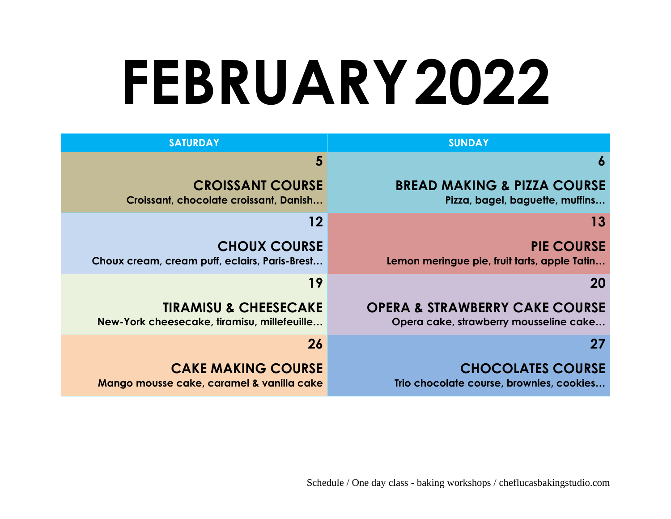## **FEBRUARY2022**

| <b>SUNDAY</b>                                                                       | <b>SATURDAY</b>                                                                 |
|-------------------------------------------------------------------------------------|---------------------------------------------------------------------------------|
| 6                                                                                   | 5                                                                               |
| <b>BREAD MAKING &amp; PIZZA COURSE</b><br>Pizza, bagel, baguette, muffins           | <b>CROISSANT COURSE</b><br>Croissant, chocolate croissant, Danish               |
| 13                                                                                  | 12                                                                              |
| <b>PIE COURSE</b><br>Lemon meringue pie, fruit tarts, apple Tatin                   | <b>CHOUX COURSE</b><br>Choux cream, cream puff, eclairs, Paris-Brest            |
| <b>20</b>                                                                           | 19                                                                              |
| <b>OPERA &amp; STRAWBERRY CAKE COURSE</b><br>Opera cake, strawberry mousseline cake | <b>TIRAMISU &amp; CHEESECAKE</b><br>New-York cheesecake, tiramisu, millefeuille |
| 27                                                                                  | 26                                                                              |
| <b>CHOCOLATES COURSE</b><br>Trio chocolate course, brownies, cookies                | <b>CAKE MAKING COURSE</b><br>Mango mousse cake, caramel & vanilla cake          |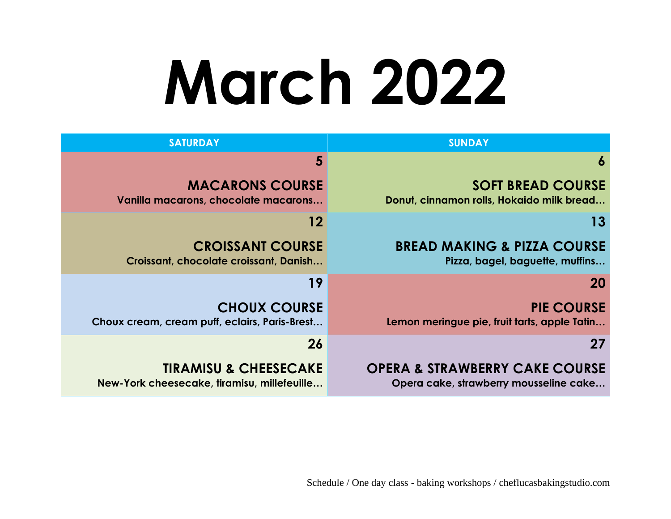# **March 2022**

| <b>SUNDAY</b>                                                                       | <b>SATURDAY</b>                                                                 |
|-------------------------------------------------------------------------------------|---------------------------------------------------------------------------------|
| 6                                                                                   | 5                                                                               |
| <b>SOFT BREAD COURSE</b><br>Donut, cinnamon rolls, Hokaido milk bread               | <b>MACARONS COURSE</b><br>Vanilla macarons, chocolate macarons                  |
| 13                                                                                  | 12                                                                              |
| <b>BREAD MAKING &amp; PIZZA COURSE</b><br>Pizza, bagel, baguette, muffins           | <b>CROISSANT COURSE</b><br>Croissant, chocolate croissant, Danish               |
| <b>20</b>                                                                           | 19                                                                              |
| <b>PIE COURSE</b><br>Lemon meringue pie, fruit tarts, apple Tatin                   | <b>CHOUX COURSE</b><br>Choux cream, cream puff, eclairs, Paris-Brest            |
| 27                                                                                  | 26                                                                              |
| <b>OPERA &amp; STRAWBERRY CAKE COURSE</b><br>Opera cake, strawberry mousseline cake | <b>TIRAMISU &amp; CHEESECAKE</b><br>New-York cheesecake, tiramisu, millefeuille |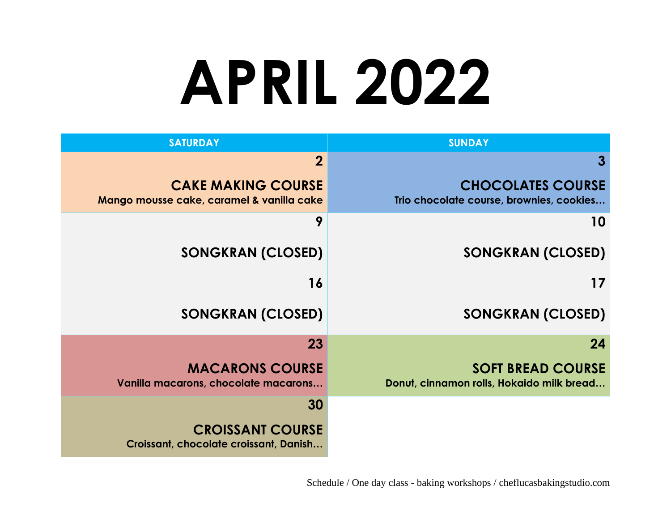## **APRIL 2022**

| <b>SUNDAY</b>                                                         | <b>SATURDAY</b>                                                        |
|-----------------------------------------------------------------------|------------------------------------------------------------------------|
| 3                                                                     | $\overline{2}$                                                         |
| <b>CHOCOLATES COURSE</b><br>Trio chocolate course, brownies, cookies  | <b>CAKE MAKING COURSE</b><br>Mango mousse cake, caramel & vanilla cake |
| 10                                                                    | 9                                                                      |
| <b>SONGKRAN (CLOSED)</b>                                              | <b>SONGKRAN (CLOSED)</b>                                               |
| 17                                                                    | 16                                                                     |
| <b>SONGKRAN (CLOSED)</b>                                              | <b>SONGKRAN (CLOSED)</b>                                               |
| 24                                                                    | 23                                                                     |
| <b>SOFT BREAD COURSE</b><br>Donut, cinnamon rolls, Hokaido milk bread | <b>MACARONS COURSE</b><br>Vanilla macarons, chocolate macarons         |
|                                                                       | 30                                                                     |
|                                                                       | <b>CROISSANT COURSE</b><br>Croissant, chocolate croissant, Danish      |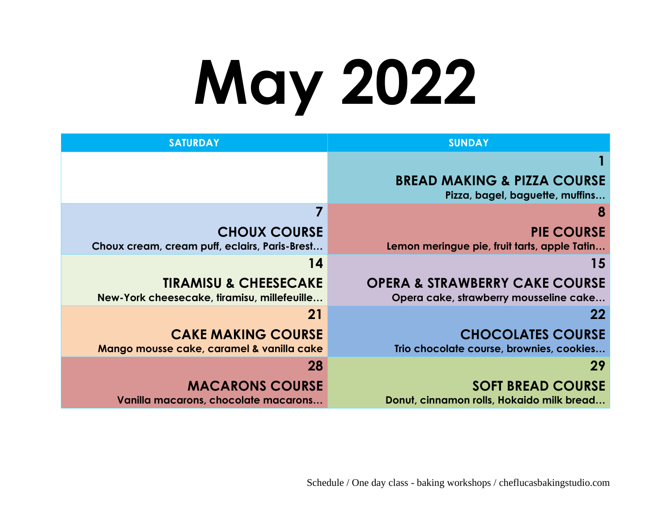# **May 2022**

| <b>SUNDAY</b>                                                                       | <b>SATURDAY</b>                                                                 |
|-------------------------------------------------------------------------------------|---------------------------------------------------------------------------------|
|                                                                                     |                                                                                 |
| <b>BREAD MAKING &amp; PIZZA COURSE</b><br>Pizza, bagel, baguette, muffins           |                                                                                 |
| 8                                                                                   |                                                                                 |
| <b>PIE COURSE</b><br>Lemon meringue pie, fruit tarts, apple Tatin                   | <b>CHOUX COURSE</b><br>Choux cream, cream puff, eclairs, Paris-Brest            |
| 15                                                                                  | 14                                                                              |
| <b>OPERA &amp; STRAWBERRY CAKE COURSE</b><br>Opera cake, strawberry mousseline cake | <b>TIRAMISU &amp; CHEESECAKE</b><br>New-York cheesecake, tiramisu, millefeuille |
| $22 \,$                                                                             | 21                                                                              |
| <b>CHOCOLATES COURSE</b><br>Trio chocolate course, brownies, cookies                | <b>CAKE MAKING COURSE</b><br>Mango mousse cake, caramel & vanilla cake          |
| 29                                                                                  | 28                                                                              |
| <b>SOFT BREAD COURSE</b><br>Donut, cinnamon rolls, Hokaido milk bread               | <b>MACARONS COURSE</b><br>Vanilla macarons, chocolate macarons                  |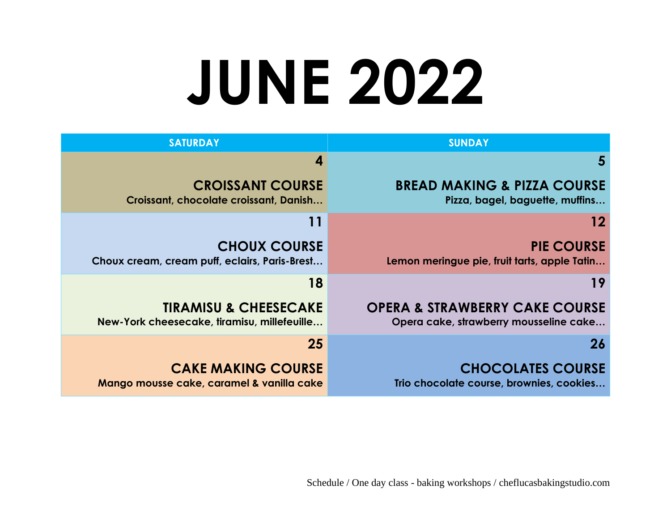### **JUNE 2022**

| <b>SUNDAY</b>                                                                       | <b>SATURDAY</b>                                                                 |
|-------------------------------------------------------------------------------------|---------------------------------------------------------------------------------|
| 5                                                                                   |                                                                                 |
| <b>BREAD MAKING &amp; PIZZA COURSE</b><br>Pizza, bagel, baguette, muffins           | <b>CROISSANT COURSE</b><br>Croissant, chocolate croissant, Danish               |
| 12                                                                                  | 11                                                                              |
| <b>PIE COURSE</b><br>Lemon meringue pie, fruit tarts, apple Tatin                   | <b>CHOUX COURSE</b><br>Choux cream, cream puff, eclairs, Paris-Brest            |
| 19                                                                                  | 18                                                                              |
| <b>OPERA &amp; STRAWBERRY CAKE COURSE</b><br>Opera cake, strawberry mousseline cake | <b>TIRAMISU &amp; CHEESECAKE</b><br>New-York cheesecake, firamisu, millefeuille |
| 26                                                                                  | 25                                                                              |
| <b>CHOCOLATES COURSE</b><br>Trio chocolate course, brownies, cookies                | <b>CAKE MAKING COURSE</b><br>Mango mousse cake, caramel & vanilla cake          |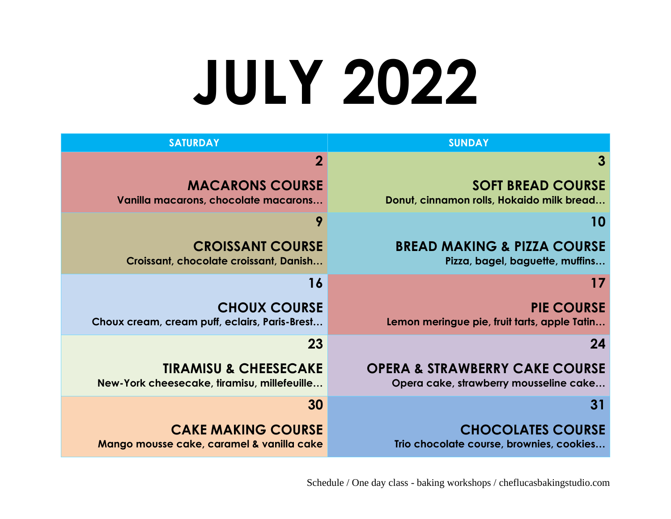## **JULY 2022**

| <b>SUNDAY</b>                                                                       | <b>SATURDAY</b>                                                                 |
|-------------------------------------------------------------------------------------|---------------------------------------------------------------------------------|
|                                                                                     | $\overline{2}$                                                                  |
| <b>SOFT BREAD COURSE</b><br>Donut, cinnamon rolls, Hokaido milk bread               | <b>MACARONS COURSE</b><br>Vanilla macarons, chocolate macarons                  |
| 10                                                                                  | 9                                                                               |
| <b>BREAD MAKING &amp; PIZZA COURSE</b><br>Pizza, bagel, baguette, muffins           | <b>CROISSANT COURSE</b><br>Croissant, chocolate croissant, Danish               |
| 17                                                                                  | 16                                                                              |
| <b>PIE COURSE</b><br>Lemon meringue pie, fruit tarts, apple Tatin                   | <b>CHOUX COURSE</b><br>Choux cream, cream puff, eclairs, Paris-Brest            |
| 24                                                                                  | 23                                                                              |
| <b>OPERA &amp; STRAWBERRY CAKE COURSE</b><br>Opera cake, strawberry mousseline cake | <b>TIRAMISU &amp; CHEESECAKE</b><br>New-York cheesecake, tiramisu, millefeuille |
| 31                                                                                  | 30                                                                              |
| <b>CHOCOLATES COURSE</b><br>Trio chocolate course, brownies, cookies                | <b>CAKE MAKING COURSE</b><br>Mango mousse cake, caramel & vanilla cake          |

Schedule / One day class - baking workshops / cheflucasbakingstudio.com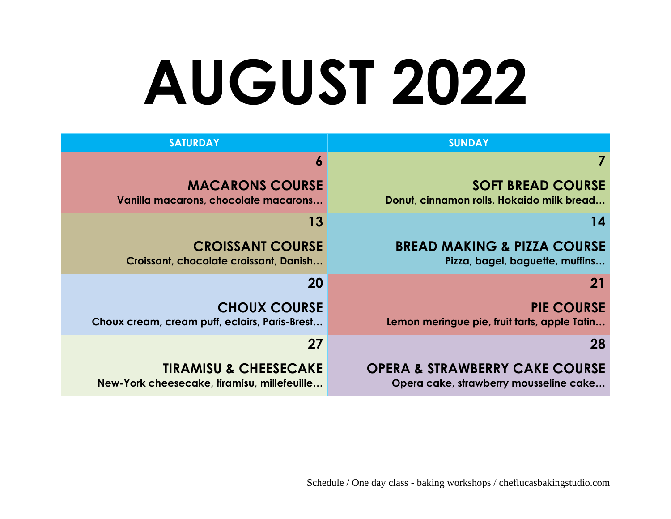# **AUGUST 2022**

| <b>SUNDAY</b>                                                                       | <b>SATURDAY</b>                                                                 |
|-------------------------------------------------------------------------------------|---------------------------------------------------------------------------------|
|                                                                                     | O                                                                               |
| <b>SOFT BREAD COURSE</b><br>Donut, cinnamon rolls, Hokaido milk bread               | <b>MACARONS COURSE</b><br>Vanilla macarons, chocolate macarons                  |
| 14                                                                                  | 13                                                                              |
| <b>BREAD MAKING &amp; PIZZA COURSE</b><br>Pizza, bagel, baguette, muffins           | <b>CROISSANT COURSE</b><br>Croissant, chocolate croissant, Danish               |
| <b>21</b>                                                                           | 20                                                                              |
| <b>PIE COURSE</b><br>Lemon meringue pie, fruit tarts, apple Tatin                   | <b>CHOUX COURSE</b><br>Choux cream, cream puff, eclairs, Paris-Brest            |
| 28                                                                                  | 27                                                                              |
| <b>OPERA &amp; STRAWBERRY CAKE COURSE</b><br>Opera cake, strawberry mousseline cake | <b>TIRAMISU &amp; CHEESECAKE</b><br>New-York cheesecake, tiramisu, millefeuille |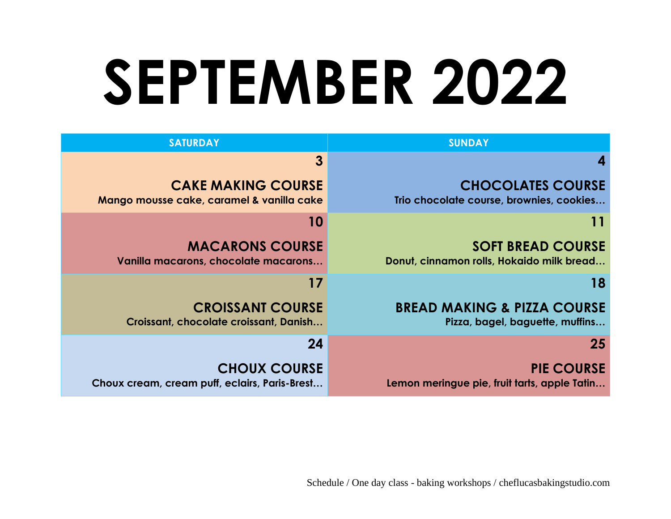## **SEPTEMBER 2022**

| <b>SUNDAY</b>                                                             | <b>SATURDAY</b>                                                        |
|---------------------------------------------------------------------------|------------------------------------------------------------------------|
|                                                                           | $\mathbf{3}$                                                           |
| <b>CHOCOLATES COURSE</b><br>Trio chocolate course, brownies, cookies      | <b>CAKE MAKING COURSE</b><br>Mango mousse cake, caramel & vanilla cake |
| 11                                                                        | 10                                                                     |
| <b>SOFT BREAD COURSE</b><br>Donut, cinnamon rolls, Hokaido milk bread     | <b>MACARONS COURSE</b><br>Vanilla macarons, chocolate macarons         |
| 18                                                                        | 17                                                                     |
| <b>BREAD MAKING &amp; PIZZA COURSE</b><br>Pizza, bagel, baguette, muffins | <b>CROISSANT COURSE</b><br>Croissant, chocolate croissant, Danish      |
| 25                                                                        | 24                                                                     |
| <b>PIE COURSE</b><br>Lemon meringue pie, fruit tarts, apple Tatin         | <b>CHOUX COURSE</b><br>Choux cream, cream puff, eclairs, Paris-Brest   |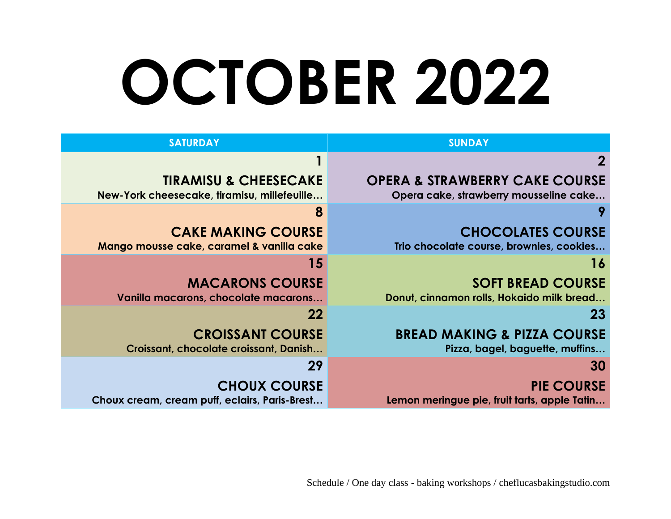## **OCTOBER 2022**

| <b>SUNDAY</b>                                                                       | <b>SATURDAY</b>                                                                 |
|-------------------------------------------------------------------------------------|---------------------------------------------------------------------------------|
| $\overline{2}$                                                                      |                                                                                 |
| <b>OPERA &amp; STRAWBERRY CAKE COURSE</b><br>Opera cake, strawberry mousseline cake | <b>TIRAMISU &amp; CHEESECAKE</b><br>New-York cheesecake, tiramisu, millefeuille |
|                                                                                     | 8                                                                               |
| <b>CHOCOLATES COURSE</b><br>Trio chocolate course, brownies, cookies                | <b>CAKE MAKING COURSE</b><br>Mango mousse cake, caramel & vanilla cake          |
| 16                                                                                  | 15                                                                              |
| <b>SOFT BREAD COURSE</b><br>Donut, cinnamon rolls, Hokaido milk bread               | <b>MACARONS COURSE</b><br>Vanilla macarons, chocolate macarons                  |
| 23                                                                                  | 22                                                                              |
| <b>BREAD MAKING &amp; PIZZA COURSE</b><br>Pizza, bagel, baguette, muffins           | <b>CROISSANT COURSE</b><br>Croissant, chocolate croissant, Danish               |
| 30                                                                                  | 29                                                                              |
| <b>PIE COURSE</b><br>Lemon meringue pie, fruit tarts, apple Tatin                   | <b>CHOUX COURSE</b><br>Choux cream, cream puff, eclairs, Paris-Brest            |